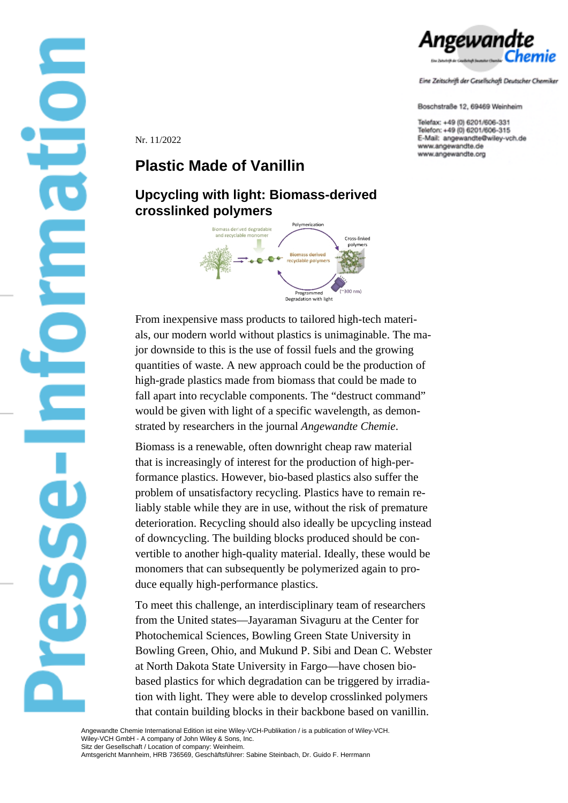

Eine Zeitschrift der Gesellschaft Deutscher Chemiker

Boschstraße 12, 69469 Weinheim

Telefax: +49 (0) 6201/606-331 Telefon: +49 (0) 6201/606-315 E-Mail: angewandte@wiley-vch.de www.angewandte.de www.angewandte.org

Nr. 11/2022

## **Plastic Made of Vanillin**

## **Upcycling with light: Biomass-derived crosslinked polymers**



From inexpensive mass products to tailored high-tech materials, our modern world without plastics is unimaginable. The major downside to this is the use of fossil fuels and the growing quantities of waste. A new approach could be the production of high-grade plastics made from biomass that could be made to fall apart into recyclable components. The "destruct command" would be given with light of a specific wavelength, as demonstrated by researchers in the journal *Angewandte Chemie*.

Biomass is a renewable, often downright cheap raw material that is increasingly of interest for the production of high-performance plastics. However, bio-based plastics also suffer the problem of unsatisfactory recycling. Plastics have to remain reliably stable while they are in use, without the risk of premature deterioration. Recycling should also ideally be upcycling instead of downcycling. The building blocks produced should be convertible to another high-quality material. Ideally, these would be monomers that can subsequently be polymerized again to produce equally high-performance plastics.

that contain building blocks in their backbone based on vanillin. To meet this challenge, an interdisciplinary team of researchers from the United states—Jayaraman Sivaguru at the Center for Photochemical Sciences, Bowling Green State University in Bowling Green, Ohio, and Mukund P. Sibi and Dean C. Webster at North Dakota State University in Fargo—have chosen biobased plastics for which degradation can be triggered by irradiation with light. They were able to develop crosslinked polymers

Angewandte Chemie International Edition ist eine Wiley-VCH-Publikation / is a publication of Wiley-VCH. Wiley-VCH GmbH - A company of John Wiley & Sons, Inc. Sitz der Gesellschaft / Location of company: Weinheim. Amtsgericht Mannheim, HRB 736569, Geschäftsführer: Sabine Steinbach, Dr. Guido F. Herrmann